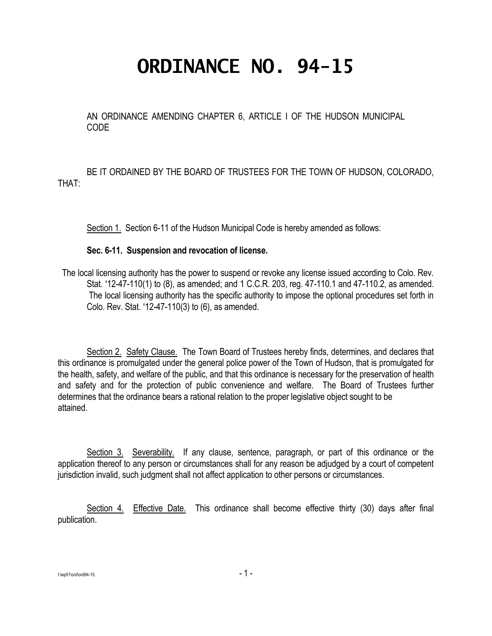## **ORDINANCE NO. 94-15**

AN ORDINANCE AMENDING CHAPTER 6, ARTICLE I OF THE HUDSON MUNICIPAL CODE

BE IT ORDAINED BY THE BOARD OF TRUSTEES FOR THE TOWN OF HUDSON, COLORADO, THAT:

Section 1. Section 6-11 of the Hudson Municipal Code is hereby amended as follows:

## **Sec. 6-11. Suspension and revocation of license.**

 The local licensing authority has the power to suspend or revoke any license issued according to Colo. Rev. Stat. '12-47-110(1) to (8), as amended; and 1 C.C.R. 203, reg. 47-110.1 and 47-110.2, as amended. The local licensing authority has the specific authority to impose the optional procedures set forth in Colo. Rev. Stat. '12-47-110(3) to (6), as amended.

Section 2. Safety Clause. The Town Board of Trustees hereby finds, determines, and declares that this ordinance is promulgated under the general police power of the Town of Hudson, that is promulgated for the health, safety, and welfare of the public, and that this ordinance is necessary for the preservation of health and safety and for the protection of public convenience and welfare. The Board of Trustees further determines that the ordinance bears a rational relation to the proper legislative object sought to be attained.

Section 3. Severability. If any clause, sentence, paragraph, or part of this ordinance or the application thereof to any person or circumstances shall for any reason be adjudged by a court of competent jurisdiction invalid, such judgment shall not affect application to other persons or circumstances.

Section 4. Effective Date. This ordinance shall become effective thirty (30) days after final publication.